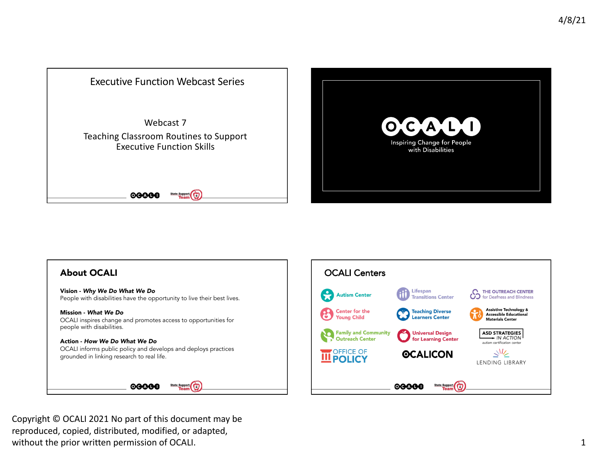





 Copyright © OCALI 2021 No part of this document may be reproduced, copied, distributed, modified, or adapted, without the prior written permission of OCALI.  $\qquad \qquad \qquad 1$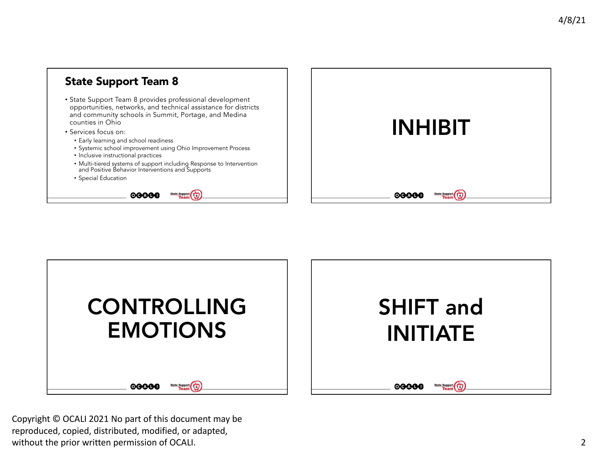





 Copyright © OCALI 2021 No part of this document may be reproduced, copied, distributed, modified, or adapted, without the prior written permission of OCALI. 2002 2022 2023 2024 2028 2024 2024 2028 2024 2028 2024 2028 202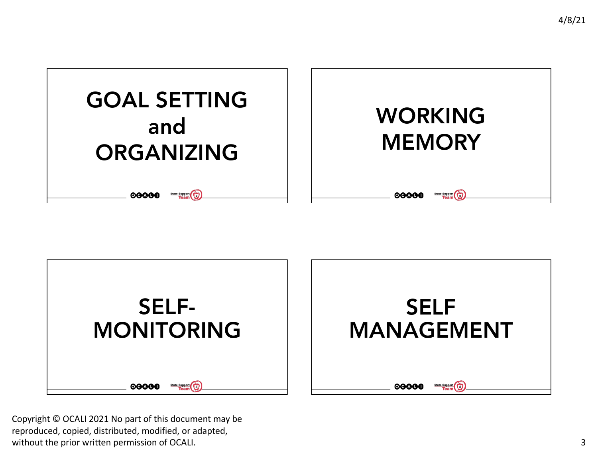



 Copyright © OCALI 2021 No part of this document may be reproduced, copied, distributed, modified, or adapted, without the prior written permission of OCALI.  $\qquad \qquad \qquad$  3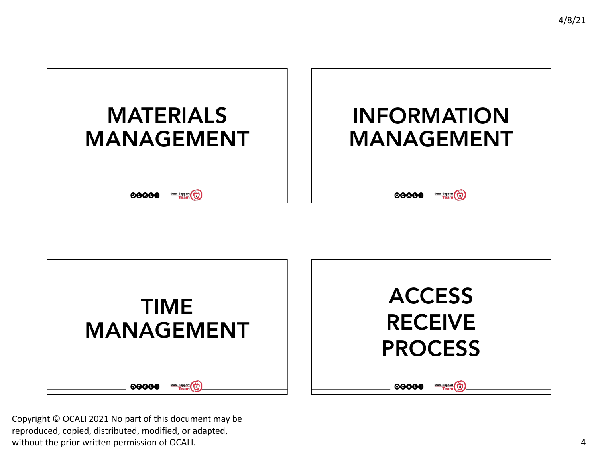



 Copyright © OCALI 2021 No part of this document may be reproduced, copied, distributed, modified, or adapted, without the prior written permission of OCALI.  $\blacksquare$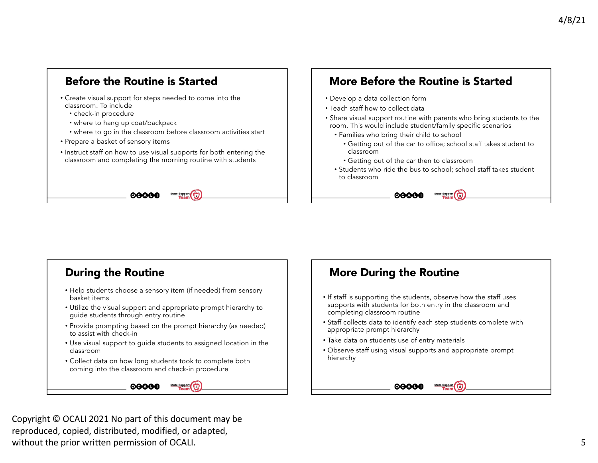

# More Before the Routine is Started

- Develop a data collection form
- Teach staff how to collect data
- • Share visual support routine with parents who bring students to the room. This would include student/family specific scenarios
	- Families who bring their child to school
		- Getting out of the car to office; school staff takes student to
		- Getting out of the car then to classroom

00000

• Students who ride the bus to school; school staff takes student



- • Help students choose a sensory item (if needed) from sensory basket items
- • Utilize the visual support and appropriate prompt hierarchy to guide students through entry routine
- • Provide prompting based on the prompt hierarchy (as needed) to assist with check-in
- • Use visual support to guide students to assigned location in the classroom
- • Collect data on how long students took to complete both coming into the classroom and check-in procedure



# More During the Routine

- supports with students for both entry in the classroom and completing classroom routine • If staff is supporting the students, observe how the staff uses
- • Staff collects data to identify each step students complete with appropriate prompt hierarchy
- Take data on students use of entry materials
- • Observe staff using visual supports and appropriate prompt hierarchy



 Copyright © OCALI 2021 No part of this document may be reproduced, copied, distributed, modified, or adapted, without the prior written permission of OCALI. The set of the set of the set of the set of the set of the set of the set of the set of the set of the set of the set of the set of the set of the set of the set of the set of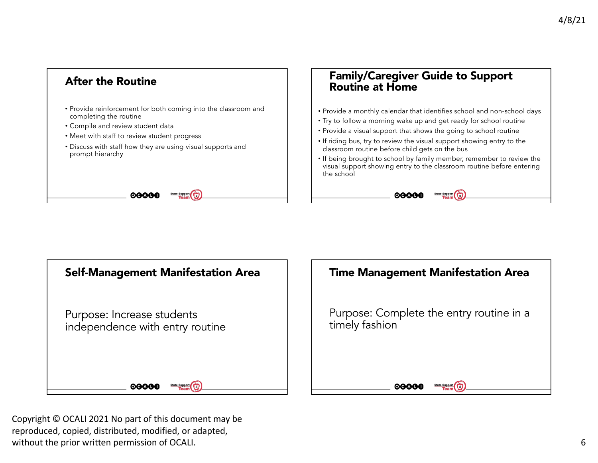

## Routine at Home Family/Caregiver Guide to Support

- Provide a monthly calendar that identifies school and non-school days
- Try to follow a morning wake up and get ready for school routine
- Provide a visual support that shows the going to school routine
- classroom routine before child gets on the bus • If riding bus, try to review the visual support showing entry to the
- visual support showing entry to the classroom routine before entering • If being brought to school by family member, remember to review the the school







 Copyright © OCALI 2021 No part of this document may be reproduced, copied, distributed, modified, or adapted, without the prior written permission of OCALI.  $\qquad \qquad \qquad \textbf{6}$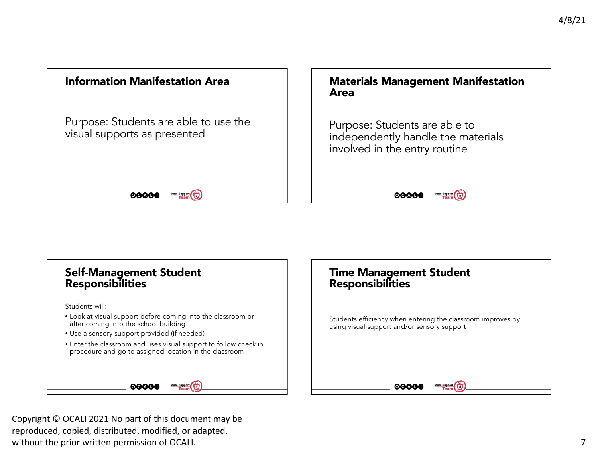



 Copyright © OCALI 2021 No part of this document may be reproduced, copied, distributed, modified, or adapted, without the prior written permission of OCALI. The state of the state of the state of the state of the state of the state of the state of the state of the state of the state of the state of the state of the state of the st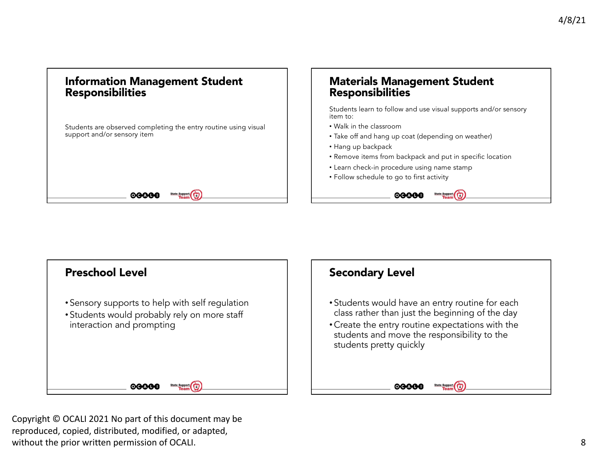#### Information Management Student Responsibilities

00000

 support and/or sensory item Students are observed completing the entry routine using visual

### Materials Management Student Responsibilities

 Students learn to follow and use visual supports and/or sensory item to:

- Walk in the classroom
- Take off and hang up coat (depending on weather)

00000

- Hang up backpack
- Remove items from backpack and put in specific location

State Support

- Learn check-in procedure using name stamp
- Follow schedule to go to first activity



 Copyright © OCALI 2021 No part of this document may be reproduced, copied, distributed, modified, or adapted, without the prior written permission of OCALI. And the set of the set of the set of the set of the set of the set of the set of the set of the set of the set of the set of the set of the set of the set of the set of the se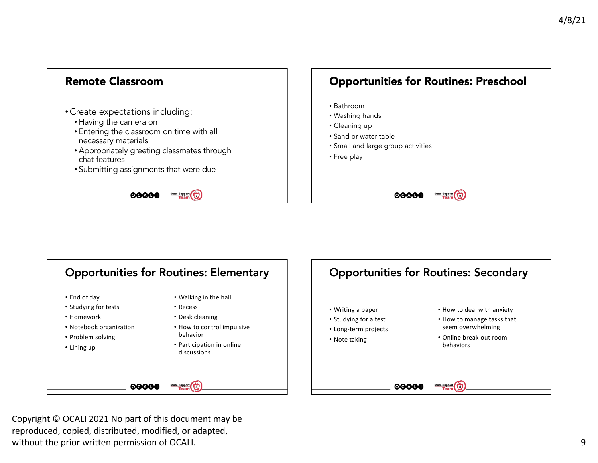



 Copyright © OCALI 2021 No part of this document may be reproduced, copied, distributed, modified, or adapted, without the prior written permission of OCALI. 9